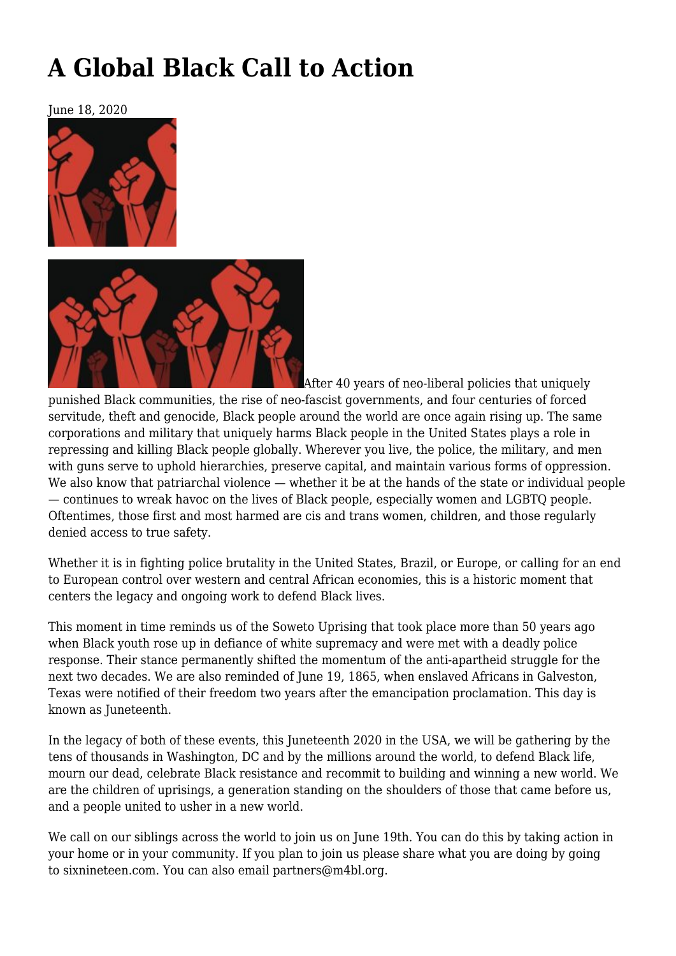## **[A Global Black Call to Action](https://newpol.org/a-global-black-call-to-action/)**

June 18, 2020





After 40 years of neo-liberal policies that uniquely punished Black communities, the rise of neo-fascist governments, and four centuries of forced servitude, theft and genocide, Black people around the world are once again rising up. The same corporations and military that uniquely harms Black people in the United States plays a role in repressing and killing Black people globally. Wherever you live, the police, the military, and men with guns serve to uphold hierarchies, preserve capital, and maintain various forms of oppression. We also know that patriarchal violence — whether it be at the hands of the state or individual people — continues to wreak havoc on the lives of Black people, especially women and LGBTQ people. Oftentimes, those first and most harmed are cis and trans women, children, and those regularly denied access to true safety.

Whether it is in fighting police brutality in the United States, Brazil, or Europe, or calling for an end to European control over western and central African economies, this is a historic moment that centers the legacy and ongoing work to defend Black lives.

This moment in time reminds us of the Soweto Uprising that took place more than 50 years ago when Black youth rose up in defiance of white supremacy and were met with a deadly police response. Their stance permanently shifted the momentum of the anti-apartheid struggle for the next two decades. We are also reminded of June 19, 1865, when enslaved Africans in Galveston, Texas were notified of their freedom two years after the emancipation proclamation. This day is known as Juneteenth.

In the legacy of both of these events, this Juneteenth 2020 in the USA, we will be gathering by the tens of thousands in Washington, DC and by the millions around the world, to defend Black life, mourn our dead, celebrate Black resistance and recommit to building and winning a new world. We are the children of uprisings, a generation standing on the shoulders of those that came before us, and a people united to usher in a new world.

We call on our siblings across the world to join us on June 19th. You can do this by taking action in your home or in your community. If you plan to join us please share what you are doing by going to [sixnineteen.com](https://sixnineteen.com/). You can also email [partners@m4bl.org.](mailto:partners@m4bl.org)